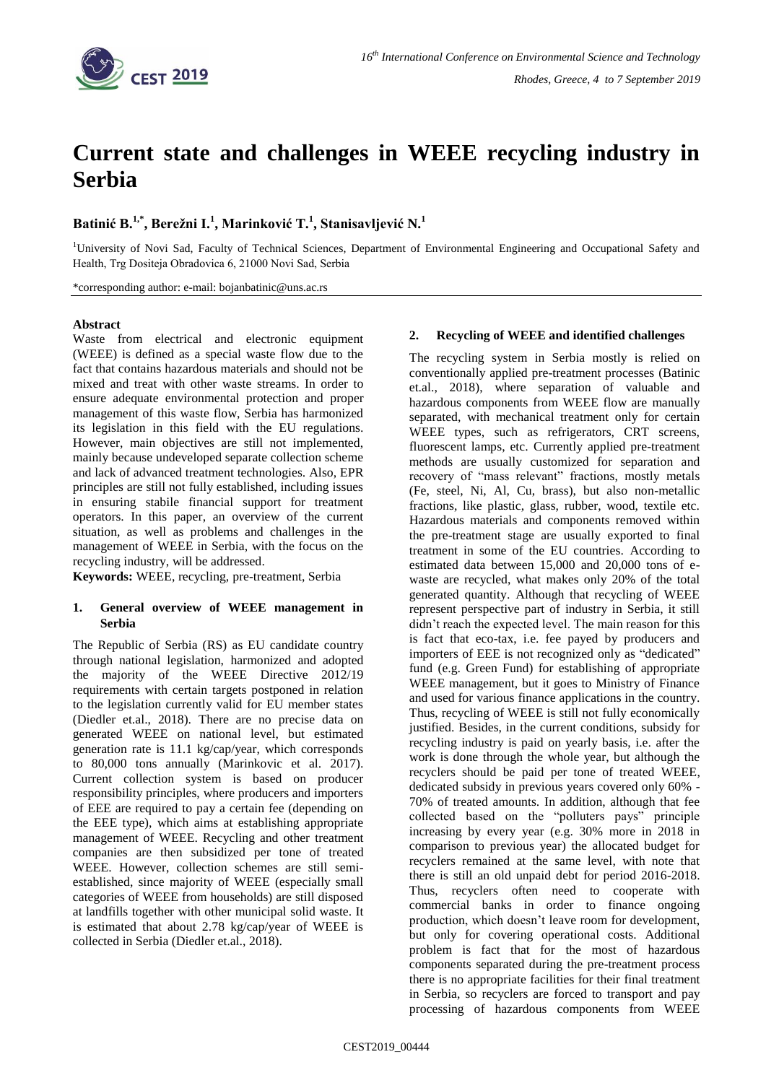

# **Current state and challenges in WEEE recycling industry in Serbia**

# **Batinić B. 1,\* , Berežni I. 1 , Marinković T. 1 , Stanisavljević N. 1**

<sup>1</sup>University of Novi Sad, Faculty of Technical Sciences, Department of Environmental Engineering and Occupational Safety and Health, Trg Dositejа Obradovicа 6, 21000 Novi Sad, Serbia

\*corresponding author: e-mail: bojanbatinic@uns.ac.rs

#### **Abstract**

Waste from electrical and electronic equipment (WEEE) is defined as a special waste flow due to the fact that contains hazardous materials and should not be mixed and treat with other waste streams. In order to ensure adequate environmental protection and proper management of this waste flow, Serbia has harmonized its legislation in this field with the EU regulations. However, main objectives are still not implemented, mainly because undeveloped separate collection scheme and lack of advanced treatment technologies. Also, EPR principles are still not fully established, including issues in ensuring stabile financial support for treatment operators. In this paper, an overview of the current situation, as well as problems and challenges in the management of WEEE in Serbia, with the focus on the recycling industry, will be addressed.

**Keywords:** WEEE, recycling, pre-treatment, Serbia

#### **1. General overview of WEEE management in Serbia**

The Republic of Serbia (RS) as EU candidate country through national legislation, harmonized and adopted the majority of the WEEE Directive 2012/19 requirements with certain targets postponed in relation to the legislation currently valid for EU member states (Diedler et.al., 2018). There are no precise data on generated WEEE on national level, but estimated generation rate is 11.1 kg/cap/year, which corresponds to 80,000 tons annually (Marinkovic et al. 2017). Current collection system is based on producer responsibility principles, where producers and importers of EEE are required to pay a certain fee (depending on the EEE type), which aims at establishing appropriate management of WEEE. Recycling and other treatment companies are then subsidized per tone of treated WEEE. However, collection schemes are still semiestablished, since majority of WEEE (especially small categories of WEEE from households) are still disposed at landfills together with other municipal solid waste. It is estimated that about 2.78 kg/cap/year of WEEE is collected in Serbia (Diedler et.al., 2018).

### **2. Recycling of WEEE and identified challenges**

The recycling system in Serbia mostly is relied on conventionally applied pre-treatment processes (Batinic et.al., 2018), where separation of valuable and hazardous components from WEEE flow are manually separated, with mechanical treatment only for certain WEEE types, such as refrigerators, CRT screens, fluorescent lamps, etc. Currently applied pre-treatment methods are usually customized for separation and recovery of "mass relevant" fractions, mostly metals (Fe, steel, Ni, Al, Cu, brass), but also non-metallic fractions, like plastic, glass, rubber, wood, textile etc. Hazardous materials and components removed within the pre-treatment stage are usually exported to final treatment in some of the EU countries. According to estimated data between 15,000 and 20,000 tons of ewaste are recycled, what makes only 20% of the total generated quantity. Although that recycling of WEEE represent perspective part of industry in Serbia, it still didn't reach the expected level. The main reason for this is fact that eco-tax, i.e. fee payed by producers and importers of EEE is not recognized only as "dedicated" fund (e.g. Green Fund) for establishing of appropriate WEEE management, but it goes to Ministry of Finance and used for various finance applications in the country. Thus, recycling of WEEE is still not fully economically justified. Besides, in the current conditions, subsidy for recycling industry is paid on yearly basis, i.e. after the work is done through the whole year, but although the recyclers should be paid per tone of treated WEEE, dedicated subsidy in previous years covered only 60% - 70% of treated amounts. In addition, although that fee collected based on the "polluters pays" principle increasing by every year (e.g. 30% more in 2018 in comparison to previous year) the allocated budget for recyclers remained at the same level, with note that there is still an old unpaid debt for period 2016-2018. Thus, recyclers often need to cooperate with commercial banks in order to finance ongoing production, which doesn't leave room for development, but only for covering operational costs. Additional problem is fact that for the most of hazardous components separated during the pre-treatment process there is no appropriate facilities for their final treatment in Serbia, so recyclers are forced to transport and pay processing of hazardous components from WEEE